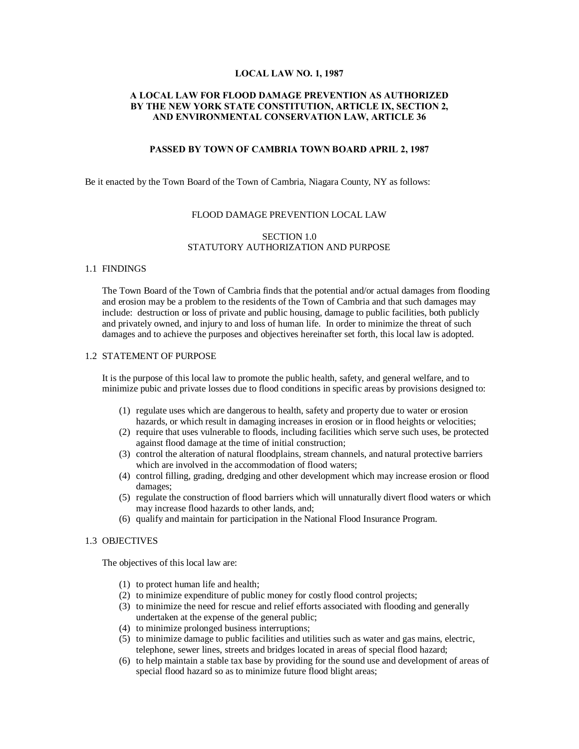#### **LOCAL LAW NO. 1, 1987**

# **A LOCAL LAW FOR FLOOD DAMAGE PREVENTION AS AUTHORIZED BY THE NEW YORK STATE CONSTITUTION, ARTICLE IX, SECTION 2, AND ENVIRONMENTAL CONSERVATION LAW, ARTICLE 36**

### **PASSED BY TOWN OF CAMBRIA TOWN BOARD APRIL 2, 1987**

Be it enacted by the Town Board of the Town of Cambria, Niagara County, NY as follows:

#### FLOOD DAMAGE PREVENTION LOCAL LAW

### SECTION 1.0 STATUTORY AUTHORIZATION AND PURPOSE

#### 1.1 FINDINGS

The Town Board of the Town of Cambria finds that the potential and/or actual damages from flooding and erosion may be a problem to the residents of the Town of Cambria and that such damages may include: destruction or loss of private and public housing, damage to public facilities, both publicly and privately owned, and injury to and loss of human life. In order to minimize the threat of such damages and to achieve the purposes and objectives hereinafter set forth, this local law is adopted.

### 1.2 STATEMENT OF PURPOSE

It is the purpose of this local law to promote the public health, safety, and general welfare, and to minimize pubic and private losses due to flood conditions in specific areas by provisions designed to:

- (1) regulate uses which are dangerous to health, safety and property due to water or erosion hazards, or which result in damaging increases in erosion or in flood heights or velocities;
- (2) require that uses vulnerable to floods, including facilities which serve such uses, be protected against flood damage at the time of initial construction;
- (3) control the alteration of natural floodplains, stream channels, and natural protective barriers which are involved in the accommodation of flood waters:
- (4) control filling, grading, dredging and other development which may increase erosion or flood damages;
- (5) regulate the construction of flood barriers which will unnaturally divert flood waters or which may increase flood hazards to other lands, and;
- (6) qualify and maintain for participation in the National Flood Insurance Program.

### 1.3 OBJECTIVES

The objectives of this local law are:

- (1) to protect human life and health;
- (2) to minimize expenditure of public money for costly flood control projects;
- (3) to minimize the need for rescue and relief efforts associated with flooding and generally undertaken at the expense of the general public;
- (4) to minimize prolonged business interruptions;
- (5) to minimize damage to public facilities and utilities such as water and gas mains, electric, telephone, sewer lines, streets and bridges located in areas of special flood hazard;
- (6) to help maintain a stable tax base by providing for the sound use and development of areas of special flood hazard so as to minimize future flood blight areas;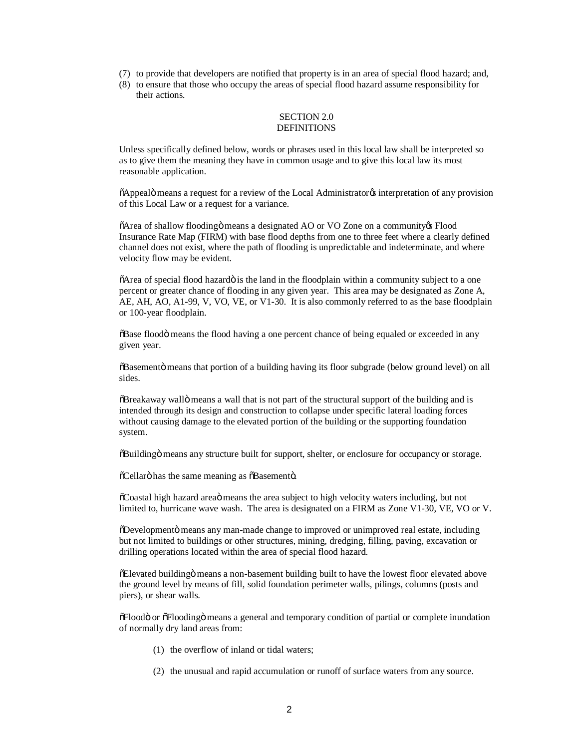- (7) to provide that developers are notified that property is in an area of special flood hazard; and,
- (8) to ensure that those who occupy the areas of special flood hazard assume responsibility for their actions.

### SECTION 2.0 DEFINITIONS

Unless specifically defined below, words or phrases used in this local law shall be interpreted so as to give them the meaning they have in common usage and to give this local law its most reasonable application.

 $\delta$ Appealö means a request for a review of the Local Administrator<sub>of</sub> interpretation of any provision of this Local Law or a request for a variance.

 $\delta$ Area of shallow flooding means a designated AO or VO Zone on a community  $\delta$  Flood Insurance Rate Map (FIRM) with base flood depths from one to three feet where a clearly defined channel does not exist, where the path of flooding is unpredictable and indeterminate, and where velocity flow may be evident.

 $\delta$ Area of special flood hazardö is the land in the floodplain within a community subject to a one percent or greater chance of flooding in any given year. This area may be designated as Zone A, AE, AH, AO, A1-99, V, VO, VE, or V1-30. It is also commonly referred to as the base floodplain or 100-year floodplain.

 $\delta$ Base flood means the flood having a one percent chance of being equaled or exceeded in any given year.

 $\delta$ Basementö means that portion of a building having its floor subgrade (below ground level) on all sides.

 $\delta$ Breakaway wall $\ddot{o}$  means a wall that is not part of the structural support of the building and is intended through its design and construction to collapse under specific lateral loading forces without causing damage to the elevated portion of the building or the supporting foundation system.

 $\delta$ Building means any structure built for support, shelter, or enclosure for occupancy or storage.

 $\tilde{\text{o}}$ Cellarö has the same meaning as  $\tilde{\text{o}}$ Basementö.

 $\delta$ Coastal high hazard area $\ddot{o}$  means the area subject to high velocity waters including, but not limited to, hurricane wave wash. The area is designated on a FIRM as Zone V1-30, VE, VO or V.

 $\delta$ Developmentö means any man-made change to improved or unimproved real estate, including but not limited to buildings or other structures, mining, dredging, filling, paving, excavation or drilling operations located within the area of special flood hazard.

 $\delta$ Elevated building means a non-basement building built to have the lowest floor elevated above the ground level by means of fill, solid foundation perimeter walls, pilings, columns (posts and piers), or shear walls.

 $\delta$ Floodo or  $\delta$ Floodingo means a general and temporary condition of partial or complete inundation of normally dry land areas from:

- (1) the overflow of inland or tidal waters;
- (2) the unusual and rapid accumulation or runoff of surface waters from any source.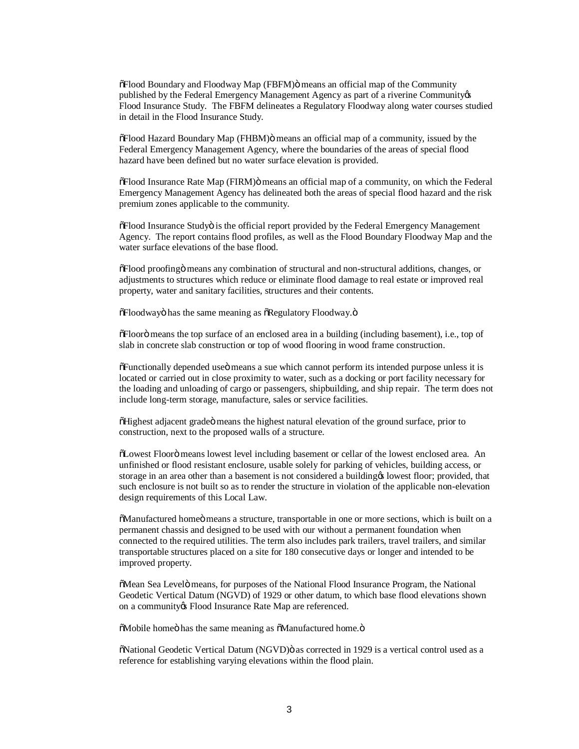$\delta$ Flood Boundary and Floodway Map (FBFM) $\ddot{o}$  means an official map of the Community published by the Federal Emergency Management Agency as part of a riverine Community of Flood Insurance Study. The FBFM delineates a Regulatory Floodway along water courses studied in detail in the Flood Insurance Study.

 $\delta$ Flood Hazard Boundary Map (FHBM) $\ddot{o}$  means an official map of a community, issued by the Federal Emergency Management Agency, where the boundaries of the areas of special flood hazard have been defined but no water surface elevation is provided.

 $\delta$ Flood Insurance Rate Map (FIRM) $\ddot{o}$  means an official map of a community, on which the Federal Emergency Management Agency has delineated both the areas of special flood hazard and the risk premium zones applicable to the community.

 $\delta$ Flood Insurance Studyö is the official report provided by the Federal Emergency Management Agency. The report contains flood profiles, as well as the Flood Boundary Floodway Map and the water surface elevations of the base flood.

 $\delta$ Flood proofing means any combination of structural and non-structural additions, changes, or adjustments to structures which reduce or eliminate flood damage to real estate or improved real property, water and sanitary facilities, structures and their contents.

 $\delta$ Floodwayö has the same meaning as  $\delta$ Regulatory Floodway. $\delta$ 

 $\delta$ Floorö means the top surface of an enclosed area in a building (including basement), i.e., top of slab in concrete slab construction or top of wood flooring in wood frame construction.

 $\delta$ Functionally depended use means a sue which cannot perform its intended purpose unless it is located or carried out in close proximity to water, such as a docking or port facility necessary for the loading and unloading of cargo or passengers, shipbuilding, and ship repair. The term does not include long-term storage, manufacture, sales or service facilities.

 $\delta$ Highest adjacent grade $\ddot{o}$  means the highest natural elevation of the ground surface, prior to construction, next to the proposed walls of a structure.

"Lowest Floor" means lowest level including basement or cellar of the lowest enclosed area. An unfinished or flood resistant enclosure, usable solely for parking of vehicles, building access, or storage in an area other than a basement is not considered a building to lowest floor; provided, that such enclosure is not built so as to render the structure in violation of the applicable non-elevation design requirements of this Local Law.

 $\delta$ Manufactured homeö means a structure, transportable in one or more sections, which is built on a permanent chassis and designed to be used with our without a permanent foundation when connected to the required utilities. The term also includes park trailers, travel trailers, and similar transportable structures placed on a site for 180 consecutive days or longer and intended to be improved property.

 $\delta$ Mean Sea Levelö means, for purposes of the National Flood Insurance Program, the National Geodetic Vertical Datum (NGVD) of 1929 or other datum, to which base flood elevations shown on a community is Flood Insurance Rate Map are referenced.

 $\delta$ Mobile homeö has the same meaning as  $\delta$ Manufactured home. $\delta$ 

 $\ddot{\text{o}}$ National Geodetic Vertical Datum (NGVD) $\ddot{\text{o}}$  as corrected in 1929 is a vertical control used as a reference for establishing varying elevations within the flood plain.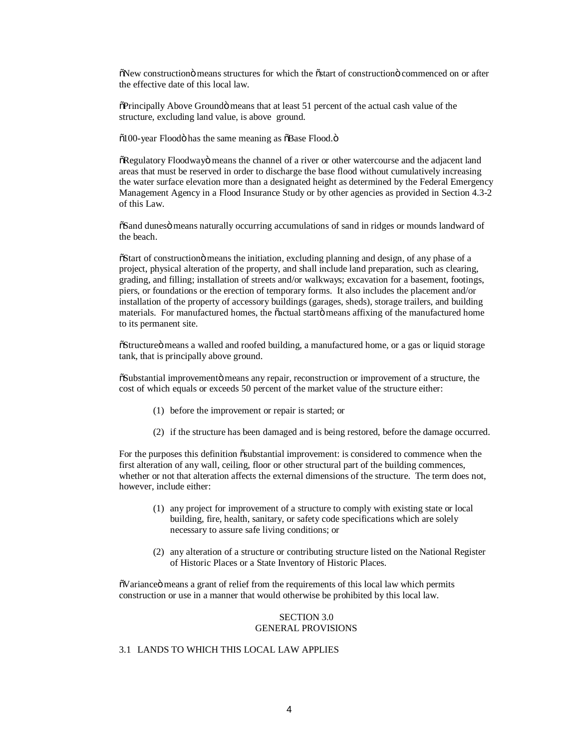$\delta$ New construction means structures for which the  $\delta$  start of construction  $\delta$  commenced on or after the effective date of this local law.

 $\delta$ Principally Above Groundö means that at least 51 percent of the actual cash value of the structure, excluding land value, is above ground.

 $\delta$ 100-year Floodö has the same meaning as  $\delta$ Base Flood. $\ddot{\text{o}}$ 

 $\delta$ Regulatory Floodway means the channel of a river or other watercourse and the adjacent land areas that must be reserved in order to discharge the base flood without cumulatively increasing the water surface elevation more than a designated height as determined by the Federal Emergency Management Agency in a Flood Insurance Study or by other agencies as provided in Section 4.3-2 of this Law.

 $\delta$ Sand dunes o means naturally occurring accumulations of sand in ridges or mounds landward of the beach.

 $\delta$ Start of construction means the initiation, excluding planning and design, of any phase of a project, physical alteration of the property, and shall include land preparation, such as clearing, grading, and filling; installation of streets and/or walkways; excavation for a basement, footings, piers, or foundations or the erection of temporary forms. It also includes the placement and/or installation of the property of accessory buildings (garages, sheds), storage trailers, and building materials. For manufactured homes, the õactual startö means affixing of the manufactured home to its permanent site.

 $\delta$ Structure $\ddot{\text{o}}$  means a walled and roofed building, a manufactured home, or a gas or liquid storage tank, that is principally above ground.

 $\delta$ Substantial improvemento means any repair, reconstruction or improvement of a structure, the cost of which equals or exceeds 50 percent of the market value of the structure either:

- (1) before the improvement or repair is started; or
- (2) if the structure has been damaged and is being restored, before the damage occurred.

For the purposes this definition  $\ddot{\text{o}}$  substantial improvement: is considered to commence when the first alteration of any wall, ceiling, floor or other structural part of the building commences, whether or not that alteration affects the external dimensions of the structure. The term does not, however, include either:

- (1) any project for improvement of a structure to comply with existing state or local building, fire, health, sanitary, or safety code specifications which are solely necessary to assure safe living conditions; or
- (2) any alteration of a structure or contributing structure listed on the National Register of Historic Places or a State Inventory of Historic Places.

 $\delta$ Variance $\ddot{\text{o}}$  means a grant of relief from the requirements of this local law which permits construction or use in a manner that would otherwise be prohibited by this local law.

## SECTION 3.0 GENERAL PROVISIONS

# 3.1 LANDS TO WHICH THIS LOCAL LAW APPLIES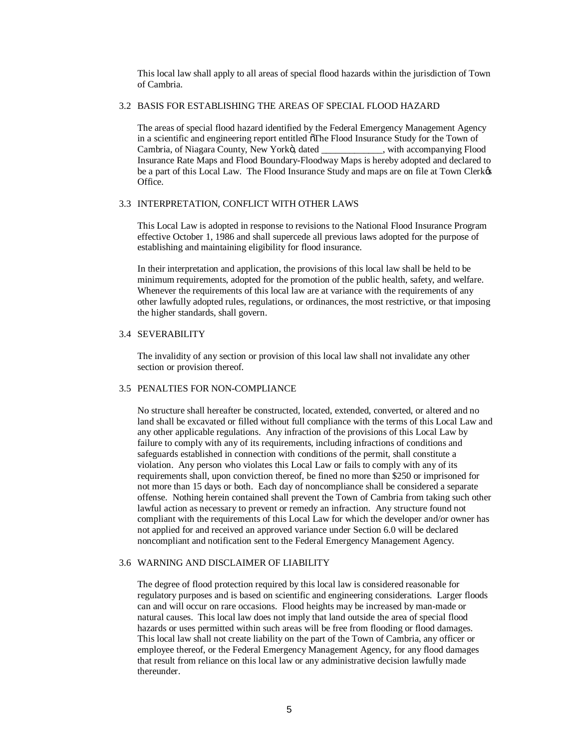This local law shall apply to all areas of special flood hazards within the jurisdiction of Town of Cambria.

### 3.2 BASIS FOR ESTABLISHING THE AREAS OF SPECIAL FLOOD HAZARD

The areas of special flood hazard identified by the Federal Emergency Management Agency in a scientific and engineering report entitled ofThe Flood Insurance Study for the Town of Cambria, of Niagara County, New Yorkö, dated \_\_\_\_\_\_\_\_\_\_\_\_, with accompanying Flood Insurance Rate Maps and Flood Boundary-Floodway Maps is hereby adopted and declared to be a part of this Local Law. The Flood Insurance Study and maps are on file at Town Clerkes Office.

## 3.3 INTERPRETATION, CONFLICT WITH OTHER LAWS

This Local Law is adopted in response to revisions to the National Flood Insurance Program effective October 1, 1986 and shall supercede all previous laws adopted for the purpose of establishing and maintaining eligibility for flood insurance.

In their interpretation and application, the provisions of this local law shall be held to be minimum requirements, adopted for the promotion of the public health, safety, and welfare. Whenever the requirements of this local law are at variance with the requirements of any other lawfully adopted rules, regulations, or ordinances, the most restrictive, or that imposing the higher standards, shall govern.

### 3.4 SEVERABILITY

The invalidity of any section or provision of this local law shall not invalidate any other section or provision thereof.

## 3.5 PENALTIES FOR NON-COMPLIANCE

No structure shall hereafter be constructed, located, extended, converted, or altered and no land shall be excavated or filled without full compliance with the terms of this Local Law and any other applicable regulations. Any infraction of the provisions of this Local Law by failure to comply with any of its requirements, including infractions of conditions and safeguards established in connection with conditions of the permit, shall constitute a violation. Any person who violates this Local Law or fails to comply with any of its requirements shall, upon conviction thereof, be fined no more than \$250 or imprisoned for not more than 15 days or both. Each day of noncompliance shall be considered a separate offense. Nothing herein contained shall prevent the Town of Cambria from taking such other lawful action as necessary to prevent or remedy an infraction. Any structure found not compliant with the requirements of this Local Law for which the developer and/or owner has not applied for and received an approved variance under Section 6.0 will be declared noncompliant and notification sent to the Federal Emergency Management Agency.

# 3.6 WARNING AND DISCLAIMER OF LIABILITY

The degree of flood protection required by this local law is considered reasonable for regulatory purposes and is based on scientific and engineering considerations. Larger floods can and will occur on rare occasions. Flood heights may be increased by man-made or natural causes. This local law does not imply that land outside the area of special flood hazards or uses permitted within such areas will be free from flooding or flood damages. This local law shall not create liability on the part of the Town of Cambria, any officer or employee thereof, or the Federal Emergency Management Agency, for any flood damages that result from reliance on this local law or any administrative decision lawfully made thereunder.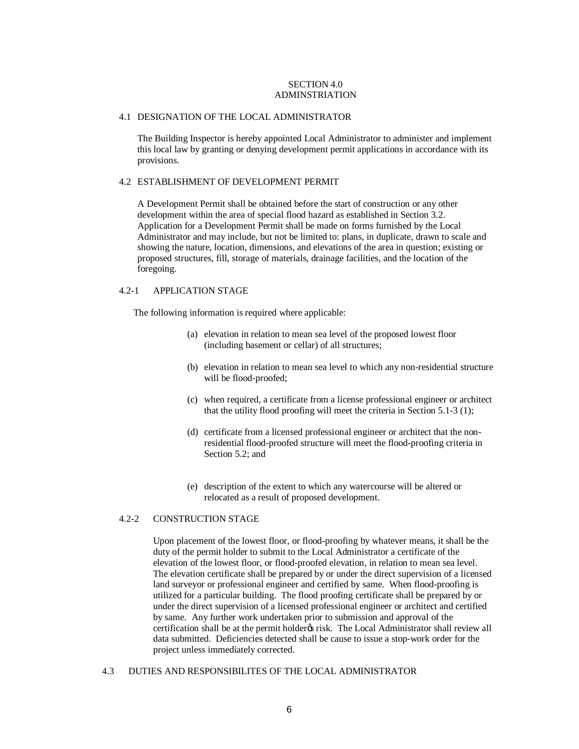## SECTION 4.0 ADMINSTRIATION

#### 4.1 DESIGNATION OF THE LOCAL ADMINISTRATOR

The Building Inspector is hereby appointed Local Administrator to administer and implement this local law by granting or denying development permit applications in accordance with its provisions.

### 4.2 ESTABLISHMENT OF DEVELOPMENT PERMIT

A Development Permit shall be obtained before the start of construction or any other development within the area of special flood hazard as established in Section 3.2. Application for a Development Permit shall be made on forms furnished by the Local Administrator and may include, but not be limited to: plans, in duplicate, drawn to scale and showing the nature, location, dimensions, and elevations of the area in question; existing or proposed structures, fill, storage of materials, drainage facilities, and the location of the foregoing.

### 4.2-1 APPLICATION STAGE

The following information is required where applicable:

- (a) elevation in relation to mean sea level of the proposed lowest floor (including basement or cellar) of all structures;
- (b) elevation in relation to mean sea level to which any non-residential structure will be flood-proofed;
- (c) when required, a certificate from a license professional engineer or architect that the utility flood proofing will meet the criteria in Section 5.1-3 (1);
- (d) certificate from a licensed professional engineer or architect that the nonresidential flood-proofed structure will meet the flood-proofing criteria in Section 5.2; and
- (e) description of the extent to which any watercourse will be altered or relocated as a result of proposed development.

#### 4.2-2 CONSTRUCTION STAGE

Upon placement of the lowest floor, or flood-proofing by whatever means, it shall be the duty of the permit holder to submit to the Local Administrator a certificate of the elevation of the lowest floor, or flood-proofed elevation, in relation to mean sea level. The elevation certificate shall be prepared by or under the direct supervision of a licensed land surveyor or professional engineer and certified by same. When flood-proofing is utilized for a particular building. The flood proofing certificate shall be prepared by or under the direct supervision of a licensed professional engineer or architect and certified by same. Any further work undertaken prior to submission and approval of the certification shall be at the permit holder is risk. The Local Administrator shall review all data submitted. Deficiencies detected shall be cause to issue a stop-work order for the project unless immediately corrected.

## 4.3 DUTIES AND RESPONSIBILITES OF THE LOCAL ADMINISTRATOR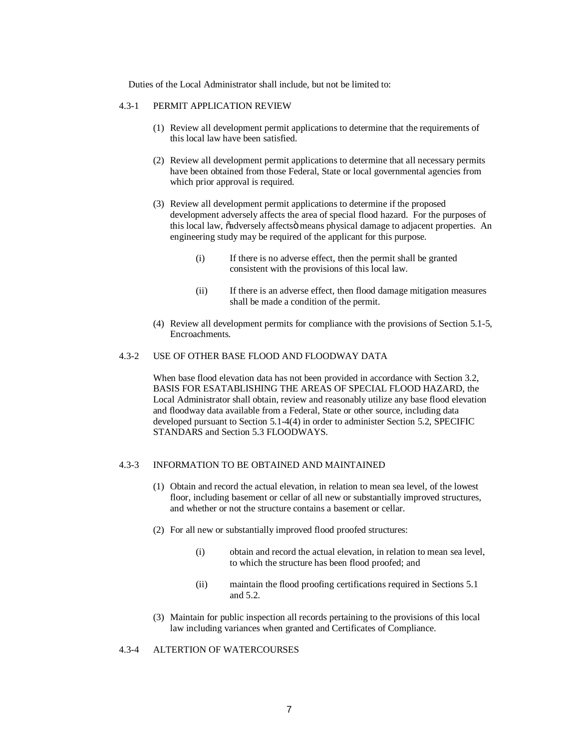Duties of the Local Administrator shall include, but not be limited to:

### 4.3-1 PERMIT APPLICATION REVIEW

- (1) Review all development permit applications to determine that the requirements of this local law have been satisfied.
- (2) Review all development permit applications to determine that all necessary permits have been obtained from those Federal, State or local governmental agencies from which prior approval is required.
- (3) Review all development permit applications to determine if the proposed development adversely affects the area of special flood hazard. For the purposes of this local law,  $\ddot{\text{o}}$ adversely affects means physical damage to adjacent properties. An engineering study may be required of the applicant for this purpose.
	- (i) If there is no adverse effect, then the permit shall be granted consistent with the provisions of this local law.
	- (ii) If there is an adverse effect, then flood damage mitigation measures shall be made a condition of the permit.
- (4) Review all development permits for compliance with the provisions of Section 5.1-5, Encroachments.

## 4.3-2 USE OF OTHER BASE FLOOD AND FLOODWAY DATA

When base flood elevation data has not been provided in accordance with Section 3.2, BASIS FOR ESATABLISHING THE AREAS OF SPECIAL FLOOD HAZARD, the Local Administrator shall obtain, review and reasonably utilize any base flood elevation and floodway data available from a Federal, State or other source, including data developed pursuant to Section 5.1-4(4) in order to administer Section 5.2, SPECIFIC STANDARS and Section 5.3 FLOODWAYS.

### 4.3-3 INFORMATION TO BE OBTAINED AND MAINTAINED

- (1) Obtain and record the actual elevation, in relation to mean sea level, of the lowest floor, including basement or cellar of all new or substantially improved structures, and whether or not the structure contains a basement or cellar.
- (2) For all new or substantially improved flood proofed structures:
	- (i) obtain and record the actual elevation, in relation to mean sea level, to which the structure has been flood proofed; and
	- (ii) maintain the flood proofing certifications required in Sections 5.1 and 5.2.
- (3) Maintain for public inspection all records pertaining to the provisions of this local law including variances when granted and Certificates of Compliance.

## 4.3-4 ALTERTION OF WATERCOURSES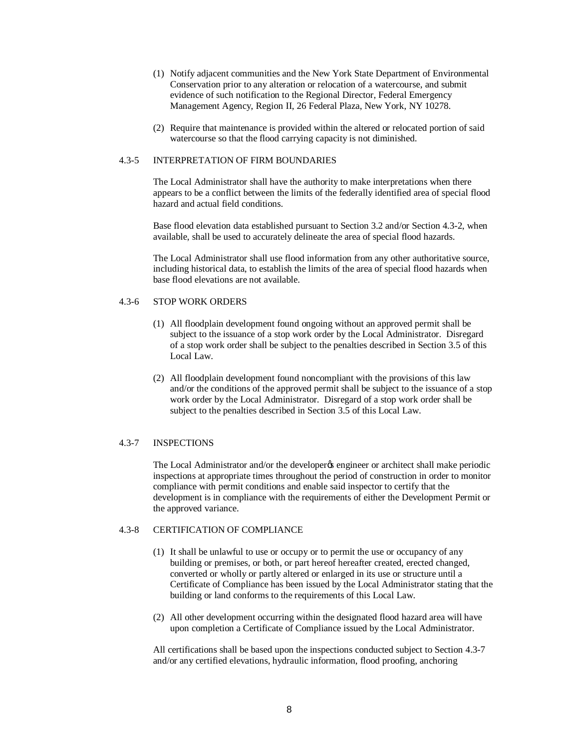- (1) Notify adjacent communities and the New York State Department of Environmental Conservation prior to any alteration or relocation of a watercourse, and submit evidence of such notification to the Regional Director, Federal Emergency Management Agency, Region II, 26 Federal Plaza, New York, NY 10278.
- (2) Require that maintenance is provided within the altered or relocated portion of said watercourse so that the flood carrying capacity is not diminished.

### 4.3-5 INTERPRETATION OF FIRM BOUNDARIES

The Local Administrator shall have the authority to make interpretations when there appears to be a conflict between the limits of the federally identified area of special flood hazard and actual field conditions.

Base flood elevation data established pursuant to Section 3.2 and/or Section 4.3-2, when available, shall be used to accurately delineate the area of special flood hazards.

The Local Administrator shall use flood information from any other authoritative source, including historical data, to establish the limits of the area of special flood hazards when base flood elevations are not available.

## 4.3-6 STOP WORK ORDERS

- (1) All floodplain development found ongoing without an approved permit shall be subject to the issuance of a stop work order by the Local Administrator. Disregard of a stop work order shall be subject to the penalties described in Section 3.5 of this Local Law.
- (2) All floodplain development found noncompliant with the provisions of this law and/or the conditions of the approved permit shall be subject to the issuance of a stop work order by the Local Administrator. Disregard of a stop work order shall be subject to the penalties described in Section 3.5 of this Local Law.

## 4.3-7 INSPECTIONS

The Local Administrator and/or the developer<sub>of</sub> engineer or architect shall make periodic inspections at appropriate times throughout the period of construction in order to monitor compliance with permit conditions and enable said inspector to certify that the development is in compliance with the requirements of either the Development Permit or the approved variance.

## 4.3-8 CERTIFICATION OF COMPLIANCE

- (1) It shall be unlawful to use or occupy or to permit the use or occupancy of any building or premises, or both, or part hereof hereafter created, erected changed, converted or wholly or partly altered or enlarged in its use or structure until a Certificate of Compliance has been issued by the Local Administrator stating that the building or land conforms to the requirements of this Local Law.
- (2) All other development occurring within the designated flood hazard area will have upon completion a Certificate of Compliance issued by the Local Administrator.

All certifications shall be based upon the inspections conducted subject to Section 4.3-7 and/or any certified elevations, hydraulic information, flood proofing, anchoring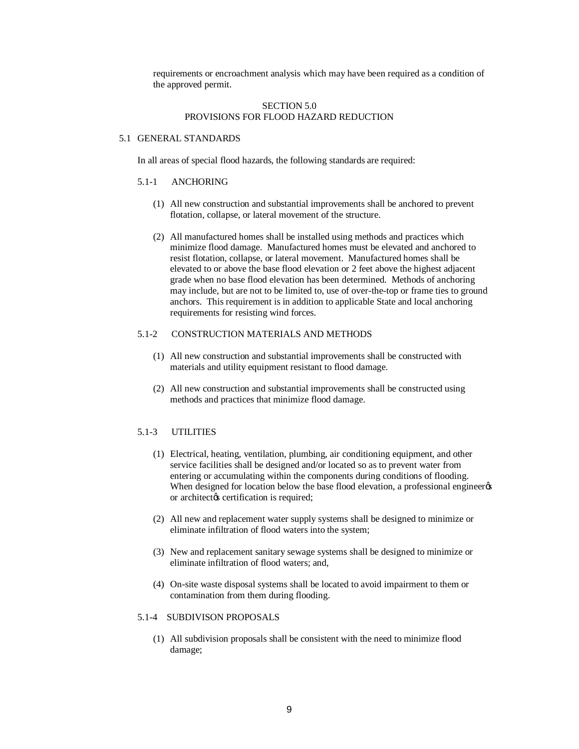requirements or encroachment analysis which may have been required as a condition of the approved permit.

## SECTION 5.0 PROVISIONS FOR FLOOD HAZARD REDUCTION

#### 5.1 GENERAL STANDARDS

In all areas of special flood hazards, the following standards are required:

### 5.1-1 ANCHORING

- (1) All new construction and substantial improvements shall be anchored to prevent flotation, collapse, or lateral movement of the structure.
- (2) All manufactured homes shall be installed using methods and practices which minimize flood damage. Manufactured homes must be elevated and anchored to resist flotation, collapse, or lateral movement. Manufactured homes shall be elevated to or above the base flood elevation or 2 feet above the highest adjacent grade when no base flood elevation has been determined. Methods of anchoring may include, but are not to be limited to, use of over-the-top or frame ties to ground anchors. This requirement is in addition to applicable State and local anchoring requirements for resisting wind forces.

### 5.1-2 CONSTRUCTION MATERIALS AND METHODS

- (1) All new construction and substantial improvements shall be constructed with materials and utility equipment resistant to flood damage.
- (2) All new construction and substantial improvements shall be constructed using methods and practices that minimize flood damage.

### 5.1-3 UTILITIES

- (1) Electrical, heating, ventilation, plumbing, air conditioning equipment, and other service facilities shall be designed and/or located so as to prevent water from entering or accumulating within the components during conditions of flooding. When designed for location below the base flood elevation, a professional engineer  $\alpha$ or architect $\alpha$ s certification is required;
- (2) All new and replacement water supply systems shall be designed to minimize or eliminate infiltration of flood waters into the system;
- (3) New and replacement sanitary sewage systems shall be designed to minimize or eliminate infiltration of flood waters; and,
- (4) On-site waste disposal systems shall be located to avoid impairment to them or contamination from them during flooding.

# 5.1-4 SUBDIVISON PROPOSALS

(1) All subdivision proposals shall be consistent with the need to minimize flood damage;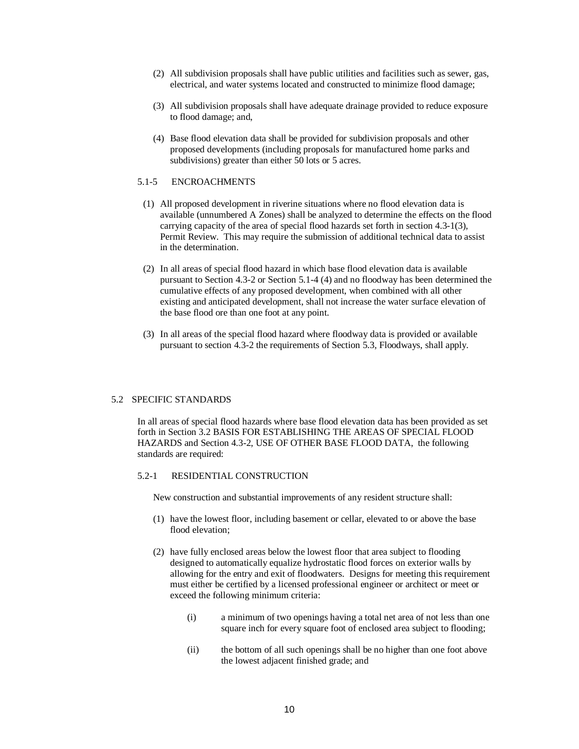- (2) All subdivision proposals shall have public utilities and facilities such as sewer, gas, electrical, and water systems located and constructed to minimize flood damage;
- (3) All subdivision proposals shall have adequate drainage provided to reduce exposure to flood damage; and,
- (4) Base flood elevation data shall be provided for subdivision proposals and other proposed developments (including proposals for manufactured home parks and subdivisions) greater than either 50 lots or 5 acres.

## 5.1-5 ENCROACHMENTS

- (1) All proposed development in riverine situations where no flood elevation data is available (unnumbered A Zones) shall be analyzed to determine the effects on the flood carrying capacity of the area of special flood hazards set forth in section 4.3-1(3), Permit Review. This may require the submission of additional technical data to assist in the determination.
- (2) In all areas of special flood hazard in which base flood elevation data is available pursuant to Section 4.3-2 or Section 5.1-4 (4) and no floodway has been determined the cumulative effects of any proposed development, when combined with all other existing and anticipated development, shall not increase the water surface elevation of the base flood ore than one foot at any point.
- (3) In all areas of the special flood hazard where floodway data is provided or available pursuant to section 4.3-2 the requirements of Section 5.3, Floodways, shall apply.

### 5.2 SPECIFIC STANDARDS

In all areas of special flood hazards where base flood elevation data has been provided as set forth in Section 3.2 BASIS FOR ESTABLISHING THE AREAS OF SPECIAL FLOOD HAZARDS and Section 4.3-2, USE OF OTHER BASE FLOOD DATA, the following standards are required:

## 5.2-1 RESIDENTIAL CONSTRUCTION

New construction and substantial improvements of any resident structure shall:

- (1) have the lowest floor, including basement or cellar, elevated to or above the base flood elevation;
- (2) have fully enclosed areas below the lowest floor that area subject to flooding designed to automatically equalize hydrostatic flood forces on exterior walls by allowing for the entry and exit of floodwaters. Designs for meeting this requirement must either be certified by a licensed professional engineer or architect or meet or exceed the following minimum criteria:
	- (i) a minimum of two openings having a total net area of not less than one square inch for every square foot of enclosed area subject to flooding;
	- (ii) the bottom of all such openings shall be no higher than one foot above the lowest adjacent finished grade; and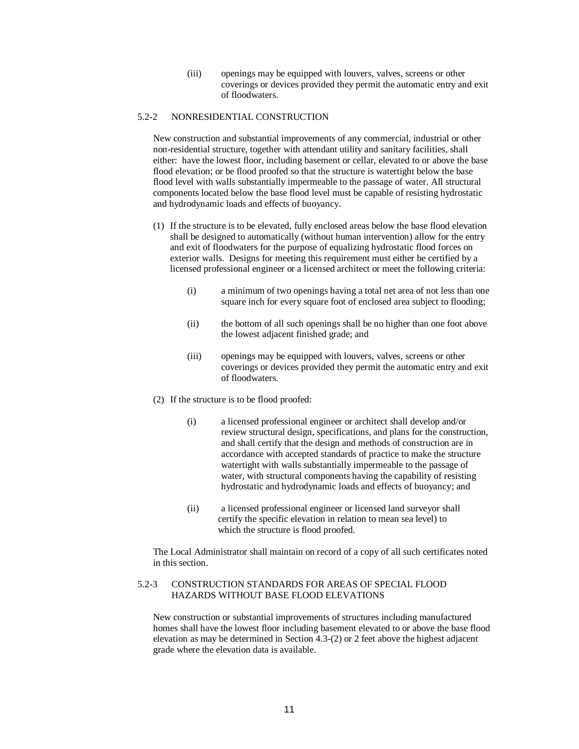(iii) openings may be equipped with louvers, valves, screens or other coverings or devices provided they permit the automatic entry and exit of floodwaters.

## 5.2-2 NONRESIDENTIAL CONSTRUCTION

New construction and substantial improvements of any commercial, industrial or other non-residential structure, together with attendant utility and sanitary facilities, shall either: have the lowest floor, including basement or cellar, elevated to or above the base flood elevation; or be flood proofed so that the structure is watertight below the base flood level with walls substantially impermeable to the passage of water. All structural components located below the base flood level must be capable of resisting hydrostatic and hydrodynamic loads and effects of buoyancy.

- (1) If the structure is to be elevated, fully enclosed areas below the base flood elevation shall be designed to automatically (without human intervention) allow for the entry and exit of floodwaters for the purpose of equalizing hydrostatic flood forces on exterior walls. Designs for meeting this requirement must either be certified by a licensed professional engineer or a licensed architect or meet the following criteria:
	- (i) a minimum of two openings having a total net area of not less than one square inch for every square foot of enclosed area subject to flooding;
	- (ii) the bottom of all such openings shall be no higher than one foot above the lowest adjacent finished grade; and
	- (iii) openings may be equipped with louvers, valves, screens or other coverings or devices provided they permit the automatic entry and exit of floodwaters.
- (2) If the structure is to be flood proofed:
	- (i) a licensed professional engineer or architect shall develop and/or review structural design, specifications, and plans for the construction, and shall certify that the design and methods of construction are in accordance with accepted standards of practice to make the structure watertight with walls substantially impermeable to the passage of water, with structural components having the capability of resisting hydrostatic and hydrodynamic loads and effects of buoyancy; and
	- (ii) a licensed professional engineer or licensed land surveyor shall certify the specific elevation in relation to mean sea level) to which the structure is flood proofed.

The Local Administrator shall maintain on record of a copy of all such certificates noted in this section.

## 5.2-3 CONSTRUCTION STANDARDS FOR AREAS OF SPECIAL FLOOD HAZARDS WITHOUT BASE FLOOD ELEVATIONS

New construction or substantial improvements of structures including manufactured homes shall have the lowest floor including basement elevated to or above the base flood elevation as may be determined in Section 4.3-(2) or 2 feet above the highest adjacent grade where the elevation data is available.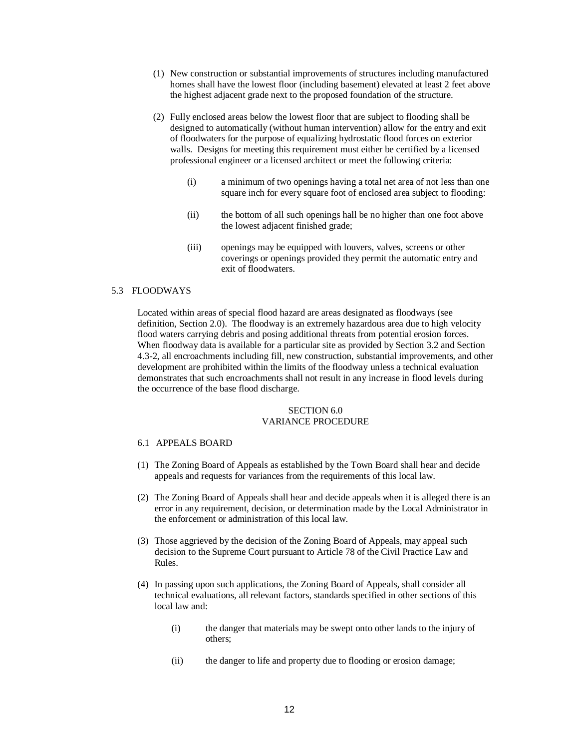- (1) New construction or substantial improvements of structures including manufactured homes shall have the lowest floor (including basement) elevated at least 2 feet above the highest adjacent grade next to the proposed foundation of the structure.
- (2) Fully enclosed areas below the lowest floor that are subject to flooding shall be designed to automatically (without human intervention) allow for the entry and exit of floodwaters for the purpose of equalizing hydrostatic flood forces on exterior walls. Designs for meeting this requirement must either be certified by a licensed professional engineer or a licensed architect or meet the following criteria:
	- (i) a minimum of two openings having a total net area of not less than one square inch for every square foot of enclosed area subject to flooding:
	- (ii) the bottom of all such openings hall be no higher than one foot above the lowest adjacent finished grade;
	- (iii) openings may be equipped with louvers, valves, screens or other coverings or openings provided they permit the automatic entry and exit of floodwaters.

## 5.3 FLOODWAYS

Located within areas of special flood hazard are areas designated as floodways (see definition, Section 2.0). The floodway is an extremely hazardous area due to high velocity flood waters carrying debris and posing additional threats from potential erosion forces. When floodway data is available for a particular site as provided by Section 3.2 and Section 4.3-2, all encroachments including fill, new construction, substantial improvements, and other development are prohibited within the limits of the floodway unless a technical evaluation demonstrates that such encroachments shall not result in any increase in flood levels during the occurrence of the base flood discharge.

### SECTION 6.0 VARIANCE PROCEDURE

# 6.1 APPEALS BOARD

- (1) The Zoning Board of Appeals as established by the Town Board shall hear and decide appeals and requests for variances from the requirements of this local law.
- (2) The Zoning Board of Appeals shall hear and decide appeals when it is alleged there is an error in any requirement, decision, or determination made by the Local Administrator in the enforcement or administration of this local law.
- (3) Those aggrieved by the decision of the Zoning Board of Appeals, may appeal such decision to the Supreme Court pursuant to Article 78 of the Civil Practice Law and Rules.
- (4) In passing upon such applications, the Zoning Board of Appeals, shall consider all technical evaluations, all relevant factors, standards specified in other sections of this local law and:
	- (i) the danger that materials may be swept onto other lands to the injury of others;
	- (ii) the danger to life and property due to flooding or erosion damage;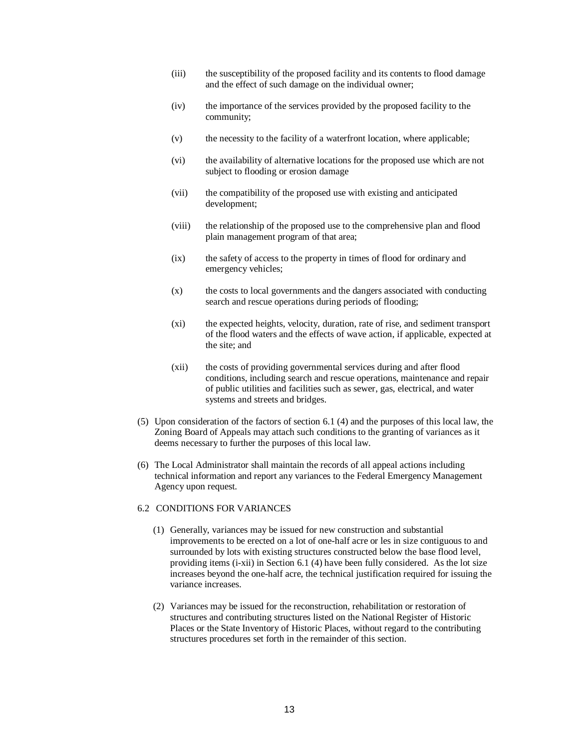- (iii) the susceptibility of the proposed facility and its contents to flood damage and the effect of such damage on the individual owner;
- (iv) the importance of the services provided by the proposed facility to the community;
- (v) the necessity to the facility of a waterfront location, where applicable;
- (vi) the availability of alternative locations for the proposed use which are not subject to flooding or erosion damage
- (vii) the compatibility of the proposed use with existing and anticipated development;
- (viii) the relationship of the proposed use to the comprehensive plan and flood plain management program of that area;
- (ix) the safety of access to the property in times of flood for ordinary and emergency vehicles;
- (x) the costs to local governments and the dangers associated with conducting search and rescue operations during periods of flooding;
- (xi) the expected heights, velocity, duration, rate of rise, and sediment transport of the flood waters and the effects of wave action, if applicable, expected at the site; and
- (xii) the costs of providing governmental services during and after flood conditions, including search and rescue operations, maintenance and repair of public utilities and facilities such as sewer, gas, electrical, and water systems and streets and bridges.
- (5) Upon consideration of the factors of section 6.1 (4) and the purposes of this local law, the Zoning Board of Appeals may attach such conditions to the granting of variances as it deems necessary to further the purposes of this local law.
- (6) The Local Administrator shall maintain the records of all appeal actions including technical information and report any variances to the Federal Emergency Management Agency upon request.

#### 6.2 CONDITIONS FOR VARIANCES

- (1) Generally, variances may be issued for new construction and substantial improvements to be erected on a lot of one-half acre or les in size contiguous to and surrounded by lots with existing structures constructed below the base flood level, providing items (i-xii) in Section 6.1 (4) have been fully considered. As the lot size increases beyond the one-half acre, the technical justification required for issuing the variance increases.
- (2) Variances may be issued for the reconstruction, rehabilitation or restoration of structures and contributing structures listed on the National Register of Historic Places or the State Inventory of Historic Places, without regard to the contributing structures procedures set forth in the remainder of this section.